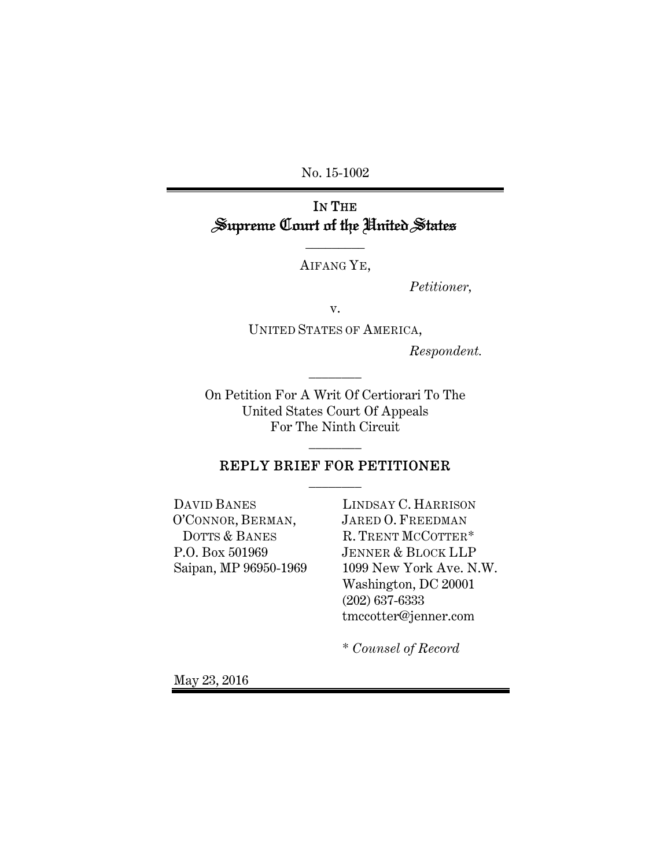No. 15-1002

# IN THE Supreme Court of the United States

AIFANG YE,

 $\overline{\phantom{a}}$  , where  $\overline{\phantom{a}}$ 

*Petitioner,* 

v.

UNITED STATES OF AMERICA,

*Respondent.*

On Petition For A Writ Of Certiorari To The United States Court Of Appeals For The Ninth Circuit

\_\_\_\_\_\_\_\_

### REPLY BRIEF FOR PETITIONER \_\_\_\_\_\_\_\_

\_\_\_\_\_\_\_\_

DAVID BANES O'CONNOR, BERMAN, DOTTS & BANES P.O. Box 501969 Saipan, MP 96950-1969

LINDSAY C. HARRISON JARED O. FREEDMAN R. TRENT MCCOTTER\* JENNER & BLOCK LLP 1099 New York Ave. N.W. Washington, DC 20001 (202) 637-6333 tmccotter@jenner.com

\* *Counsel of Record*

May 23, 2016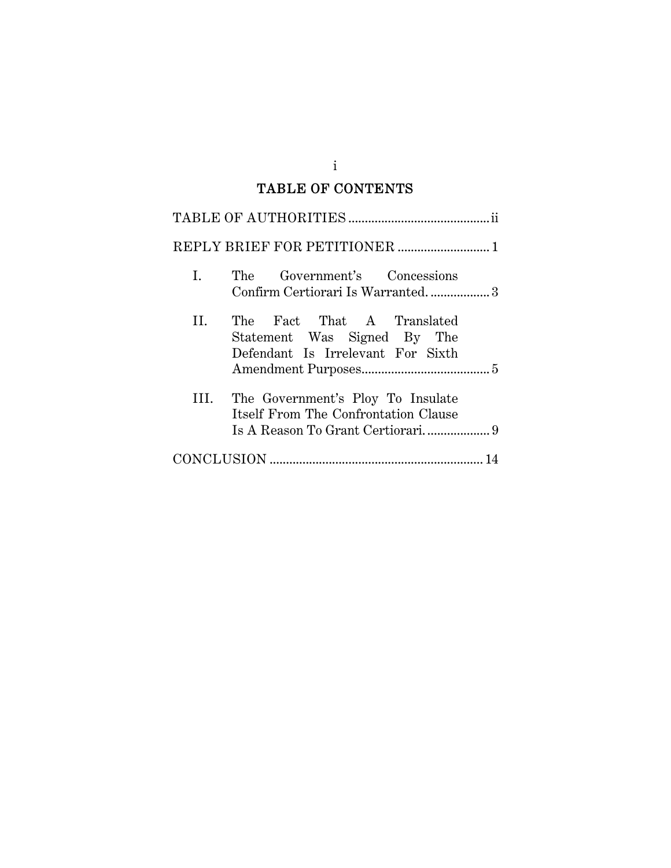## TABLE OF CONTENTS

| L. | The Government's Concessions<br>Confirm Certiorari Is Warranted3                               |
|----|------------------------------------------------------------------------------------------------|
| Н. | The Fact That A Translated<br>Statement Was Signed By The<br>Defendant Is Irrelevant For Sixth |
| Ш. | The Government's Ploy To Insulate<br>Itself From The Confrontation Clause                      |
|    |                                                                                                |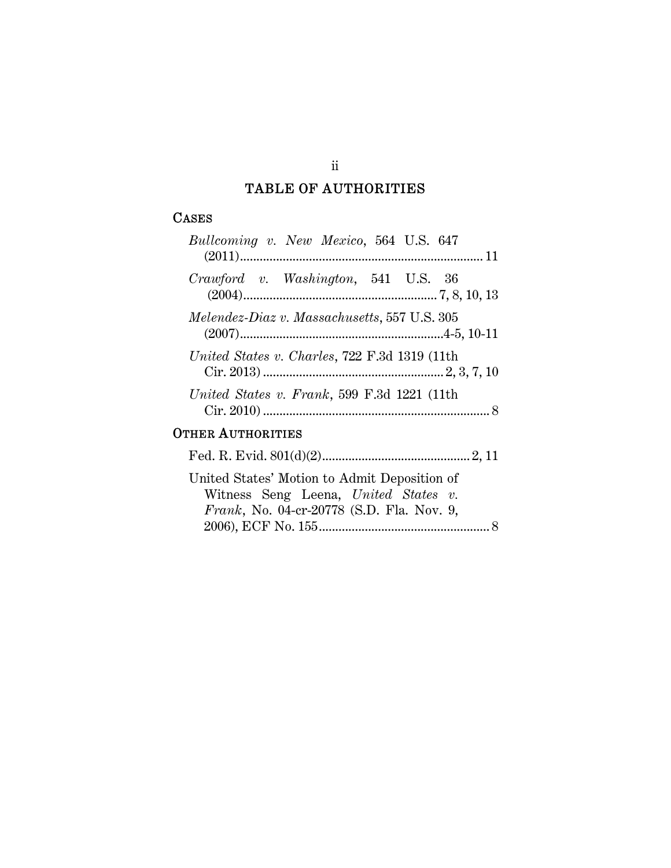## TABLE OF AUTHORITIES

## **CASES**

| Bullcoming v. New Mexico, 564 U.S. 647                                                                                                    |
|-------------------------------------------------------------------------------------------------------------------------------------------|
| Crawford v. Washington, 541 U.S. 36                                                                                                       |
| Melendez-Diaz v. Massachusetts, 557 U.S. 305                                                                                              |
| United States v. Charles, 722 F.3d 1319 (11th                                                                                             |
| United States v. Frank, 599 F.3d 1221 (11th                                                                                               |
| <b>OTHER AUTHORITIES</b>                                                                                                                  |
|                                                                                                                                           |
| United States' Motion to Admit Deposition of<br>Witness Seng Leena, United States v.<br><i>Frank</i> , No. 04-cr-20778 (S.D. Fla. Nov. 9, |

2006), ECF No. 155 .................................................... 8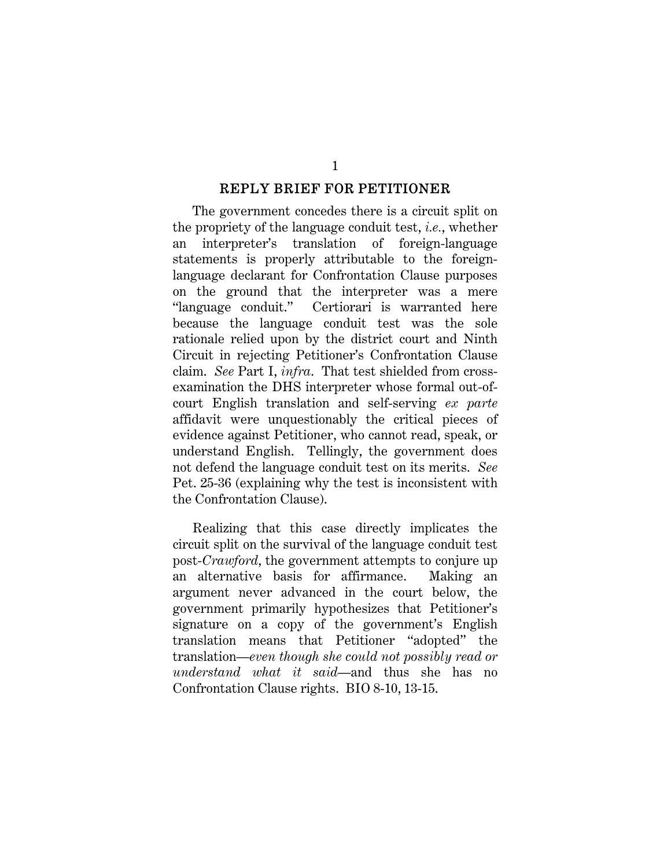#### REPLY BRIEF FOR PETITIONER

The government concedes there is a circuit split on the propriety of the language conduit test, *i.e.*, whether an interpreter's translation of foreign-language statements is properly attributable to the foreignlanguage declarant for Confrontation Clause purposes on the ground that the interpreter was a mere "language conduit." Certiorari is warranted here because the language conduit test was the sole rationale relied upon by the district court and Ninth Circuit in rejecting Petitioner's Confrontation Clause claim. *See* Part I, *infra*. That test shielded from crossexamination the DHS interpreter whose formal out-ofcourt English translation and self-serving *ex parte* affidavit were unquestionably the critical pieces of evidence against Petitioner, who cannot read, speak, or understand English. Tellingly, the government does not defend the language conduit test on its merits. *See* Pet. 25-36 (explaining why the test is inconsistent with the Confrontation Clause).

Realizing that this case directly implicates the circuit split on the survival of the language conduit test post-*Crawford*, the government attempts to conjure up an alternative basis for affirmance. Making an argument never advanced in the court below, the government primarily hypothesizes that Petitioner's signature on a copy of the government's English translation means that Petitioner "adopted" the translation—*even though she could not possibly read or understand what it said*—and thus she has no Confrontation Clause rights. BIO 8-10, 13-15.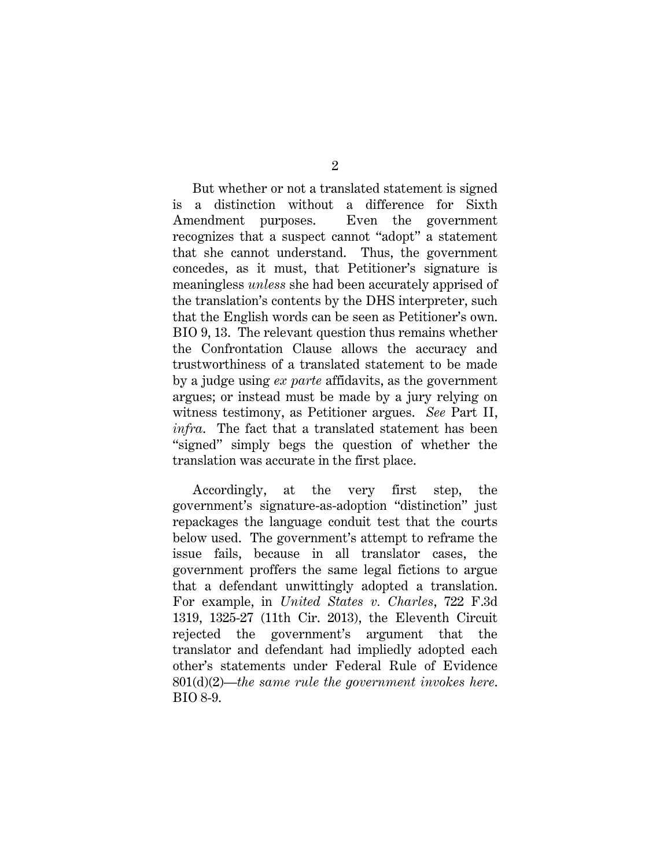But whether or not a translated statement is signed is a distinction without a difference for Sixth Amendment purposes. Even the government recognizes that a suspect cannot "adopt" a statement that she cannot understand. Thus, the government concedes, as it must, that Petitioner's signature is meaningless *unless* she had been accurately apprised of the translation's contents by the DHS interpreter, such that the English words can be seen as Petitioner's own. BIO 9, 13. The relevant question thus remains whether the Confrontation Clause allows the accuracy and trustworthiness of a translated statement to be made by a judge using *ex parte* affidavits, as the government argues; or instead must be made by a jury relying on witness testimony, as Petitioner argues. *See* Part II, *infra*. The fact that a translated statement has been "signed" simply begs the question of whether the translation was accurate in the first place.

Accordingly, at the very first step, the government's signature-as-adoption "distinction" just repackages the language conduit test that the courts below used. The government's attempt to reframe the issue fails, because in all translator cases, the government proffers the same legal fictions to argue that a defendant unwittingly adopted a translation. For example, in *United States v. Charles*, 722 F.3d 1319, 1325-27 (11th Cir. 2013), the Eleventh Circuit rejected the government's argument that the translator and defendant had impliedly adopted each other's statements under Federal Rule of Evidence 801(d)(2)—*the same rule the government invokes here*. BIO 8-9.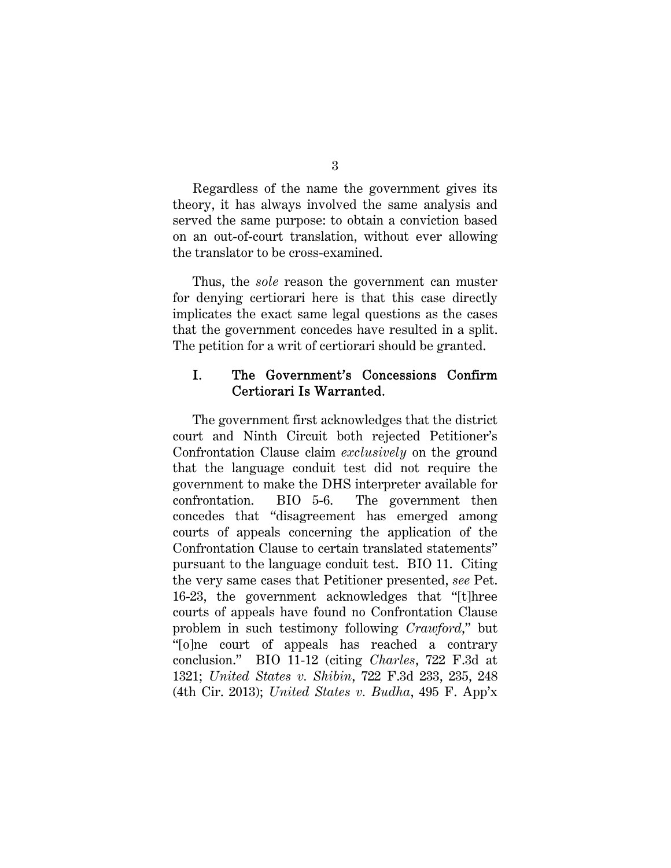Regardless of the name the government gives its theory, it has always involved the same analysis and served the same purpose: to obtain a conviction based on an out-of-court translation, without ever allowing the translator to be cross-examined.

Thus, the *sole* reason the government can muster for denying certiorari here is that this case directly implicates the exact same legal questions as the cases that the government concedes have resulted in a split. The petition for a writ of certiorari should be granted.

### I. The Government's Concessions Confirm Certiorari Is Warranted.

The government first acknowledges that the district court and Ninth Circuit both rejected Petitioner's Confrontation Clause claim *exclusively* on the ground that the language conduit test did not require the government to make the DHS interpreter available for confrontation. BIO 5-6. The government then concedes that "disagreement has emerged among courts of appeals concerning the application of the Confrontation Clause to certain translated statements" pursuant to the language conduit test. BIO 11. Citing the very same cases that Petitioner presented, *see* Pet. 16-23, the government acknowledges that "[t]hree courts of appeals have found no Confrontation Clause problem in such testimony following *Crawford*," but "[o]ne court of appeals has reached a contrary conclusion." BIO 11-12 (citing *Charles*, 722 F.3d at 1321; *United States v. Shibin*, 722 F.3d 233, 235, 248 (4th Cir. 2013); *United States v. Budha*, 495 F. App'x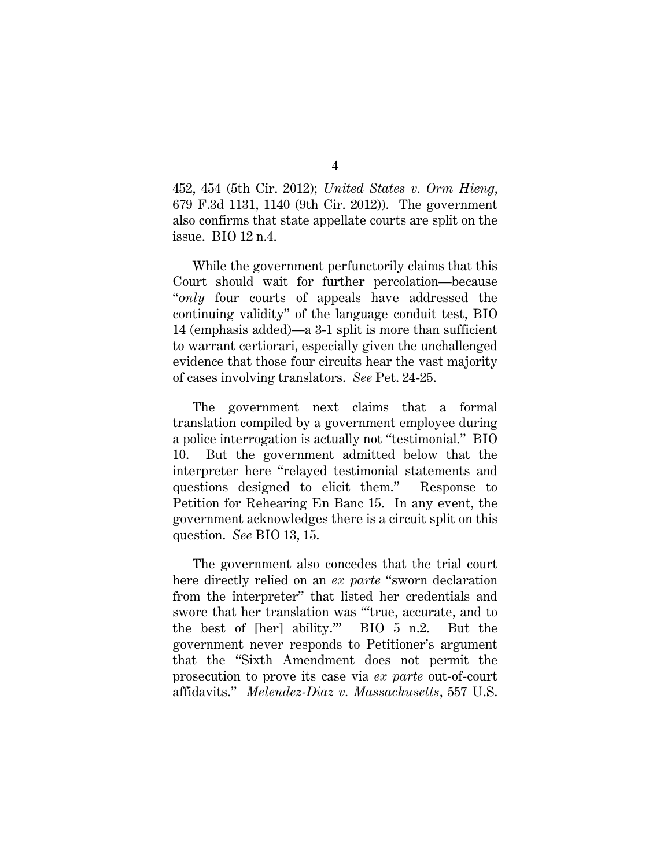452, 454 (5th Cir. 2012); *United States v. Orm Hieng*, 679 F.3d 1131, 1140 (9th Cir. 2012)). The government also confirms that state appellate courts are split on the issue. BIO 12 n.4.

While the government perfunctorily claims that this Court should wait for further percolation—because "*only* four courts of appeals have addressed the continuing validity" of the language conduit test, BIO 14 (emphasis added)—a 3-1 split is more than sufficient to warrant certiorari, especially given the unchallenged evidence that those four circuits hear the vast majority of cases involving translators. *See* Pet. 24-25.

The government next claims that a formal translation compiled by a government employee during a police interrogation is actually not "testimonial." BIO 10. But the government admitted below that the interpreter here "relayed testimonial statements and questions designed to elicit them." Response to Petition for Rehearing En Banc 15. In any event, the government acknowledges there is a circuit split on this question. *See* BIO 13, 15.

The government also concedes that the trial court here directly relied on an *ex parte* "sworn declaration from the interpreter" that listed her credentials and swore that her translation was "'true, accurate, and to the best of [her] ability.'" BIO 5 n.2. But the government never responds to Petitioner's argument that the "Sixth Amendment does not permit the prosecution to prove its case via *ex parte* out-of-court affidavits." *Melendez-Diaz v. Massachusetts*, 557 U.S.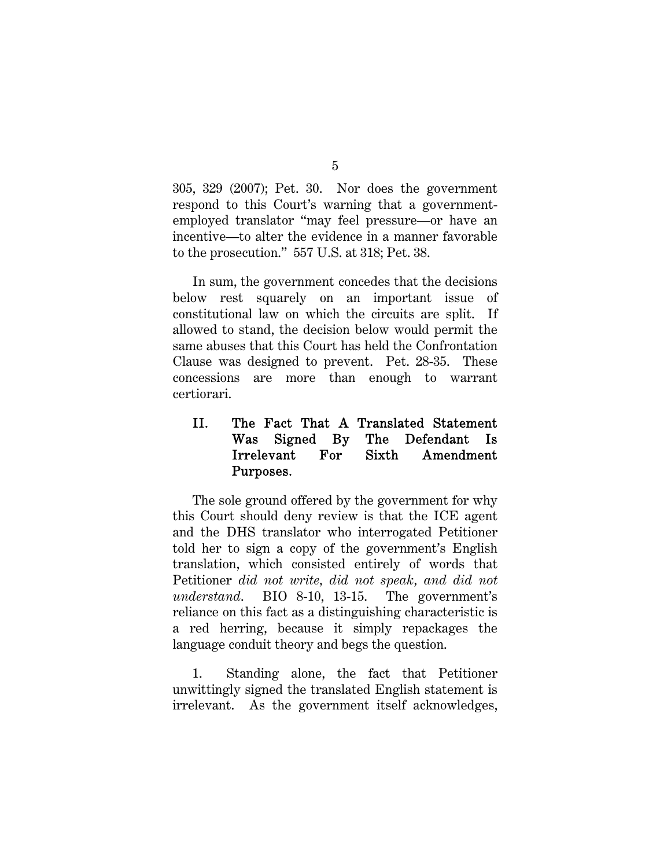305, 329 (2007); Pet. 30. Nor does the government respond to this Court's warning that a governmentemployed translator "may feel pressure—or have an incentive—to alter the evidence in a manner favorable to the prosecution." 557 U.S. at 318; Pet. 38.

In sum, the government concedes that the decisions below rest squarely on an important issue of constitutional law on which the circuits are split. If allowed to stand, the decision below would permit the same abuses that this Court has held the Confrontation Clause was designed to prevent. Pet. 28-35. These concessions are more than enough to warrant certiorari.

### II. The Fact That A Translated Statement Was Signed By The Defendant Is Irrelevant For Sixth Amendment Purposes.

The sole ground offered by the government for why this Court should deny review is that the ICE agent and the DHS translator who interrogated Petitioner told her to sign a copy of the government's English translation, which consisted entirely of words that Petitioner *did not write, did not speak, and did not understand*. BIO 8-10, 13-15. The government's reliance on this fact as a distinguishing characteristic is a red herring, because it simply repackages the language conduit theory and begs the question.

1. Standing alone, the fact that Petitioner unwittingly signed the translated English statement is irrelevant. As the government itself acknowledges,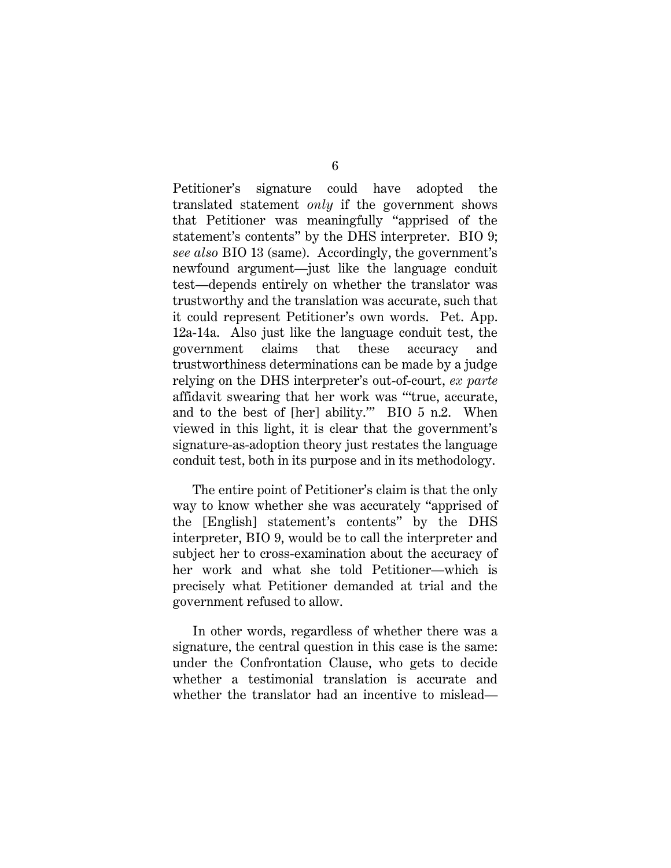Petitioner's signature could have adopted the translated statement *only* if the government shows that Petitioner was meaningfully "apprised of the statement's contents" by the DHS interpreter. BIO 9; *see also* BIO 13 (same). Accordingly, the government's newfound argument—just like the language conduit test—depends entirely on whether the translator was trustworthy and the translation was accurate, such that it could represent Petitioner's own words. Pet. App. 12a-14a. Also just like the language conduit test, the government claims that these accuracy and trustworthiness determinations can be made by a judge relying on the DHS interpreter's out-of-court, *ex parte* affidavit swearing that her work was "'true, accurate, and to the best of [her] ability.'" BIO 5 n.2. When viewed in this light, it is clear that the government's signature-as-adoption theory just restates the language conduit test, both in its purpose and in its methodology.

The entire point of Petitioner's claim is that the only way to know whether she was accurately "apprised of the [English] statement's contents" by the DHS interpreter, BIO 9, would be to call the interpreter and subject her to cross-examination about the accuracy of her work and what she told Petitioner—which is precisely what Petitioner demanded at trial and the government refused to allow.

In other words, regardless of whether there was a signature, the central question in this case is the same: under the Confrontation Clause, who gets to decide whether a testimonial translation is accurate and whether the translator had an incentive to mislead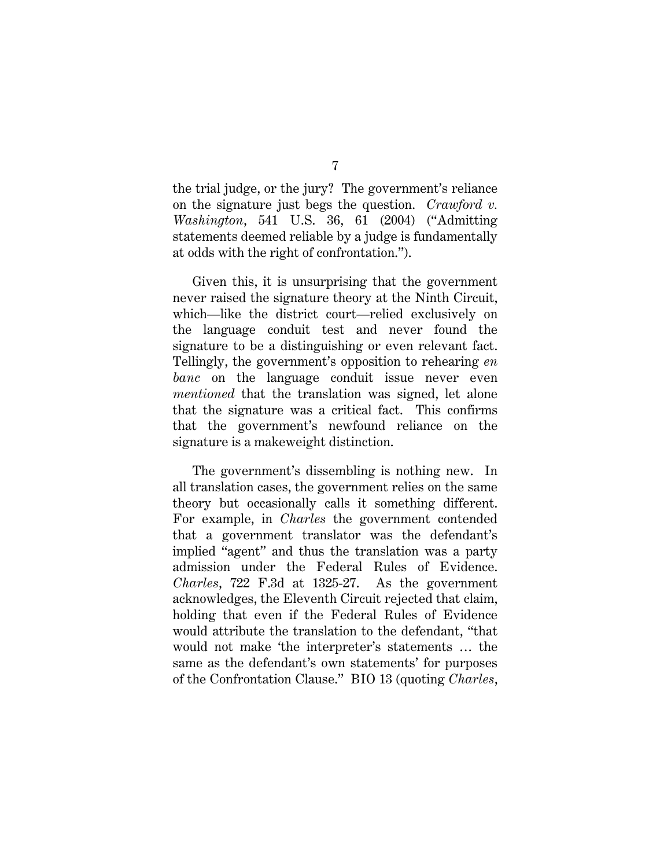the trial judge, or the jury? The government's reliance on the signature just begs the question. *Crawford v. Washington*, 541 U.S. 36, 61 (2004) ("Admitting statements deemed reliable by a judge is fundamentally at odds with the right of confrontation.").

Given this, it is unsurprising that the government never raised the signature theory at the Ninth Circuit, which—like the district court—relied exclusively on the language conduit test and never found the signature to be a distinguishing or even relevant fact. Tellingly, the government's opposition to rehearing *en banc* on the language conduit issue never even *mentioned* that the translation was signed, let alone that the signature was a critical fact. This confirms that the government's newfound reliance on the signature is a makeweight distinction.

The government's dissembling is nothing new. In all translation cases, the government relies on the same theory but occasionally calls it something different. For example, in *Charles* the government contended that a government translator was the defendant's implied "agent" and thus the translation was a party admission under the Federal Rules of Evidence. *Charles*, 722 F.3d at 1325-27. As the government acknowledges, the Eleventh Circuit rejected that claim, holding that even if the Federal Rules of Evidence would attribute the translation to the defendant, "that would not make 'the interpreter's statements … the same as the defendant's own statements' for purposes of the Confrontation Clause." BIO 13 (quoting *Charles*,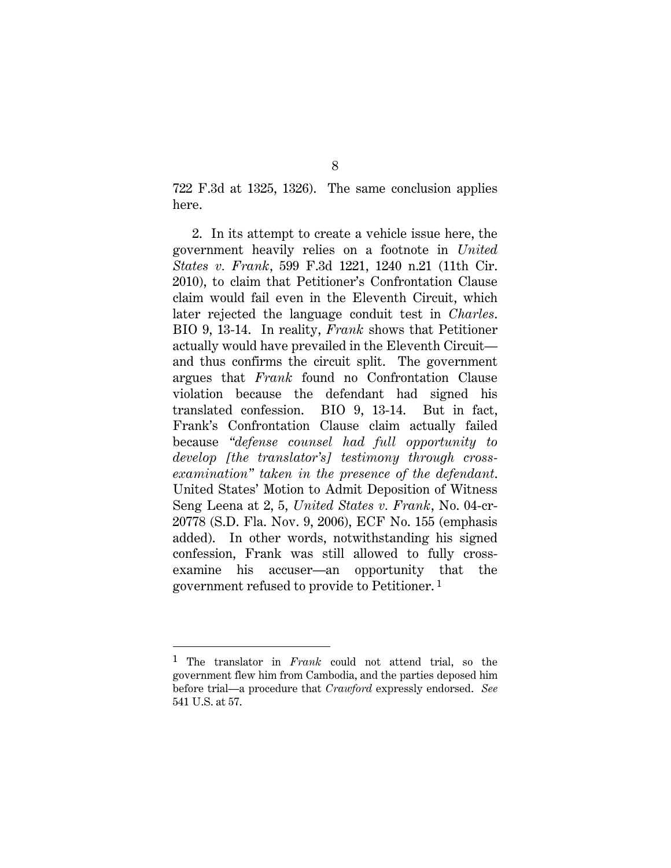722 F.3d at 1325, 1326). The same conclusion applies here.

2. In its attempt to create a vehicle issue here, the government heavily relies on a footnote in *United States v. Frank*, 599 F.3d 1221, 1240 n.21 (11th Cir. 2010), to claim that Petitioner's Confrontation Clause claim would fail even in the Eleventh Circuit, which later rejected the language conduit test in *Charles*. BIO 9, 13-14. In reality, *Frank* shows that Petitioner actually would have prevailed in the Eleventh Circuit and thus confirms the circuit split. The government argues that *Frank* found no Confrontation Clause violation because the defendant had signed his translated confession. BIO 9, 13-14. But in fact, Frank's Confrontation Clause claim actually failed because *"defense counsel had full opportunity to develop [the translator's] testimony through crossexamination" taken in the presence of the defendant*. United States' Motion to Admit Deposition of Witness Seng Leena at 2, 5, *United States v. Frank*, No. 04-cr-20778 (S.D. Fla. Nov. 9, 2006), ECF No. 155 (emphasis added). In other words, notwithstanding his signed confession, Frank was still allowed to fully crossexamine his accuser—an opportunity that the government refused to provide to Petitioner. 1

l

<sup>1</sup> The translator in *Frank* could not attend trial, so the government flew him from Cambodia, and the parties deposed him before trial—a procedure that *Crawford* expressly endorsed. *See* 541 U.S. at 57.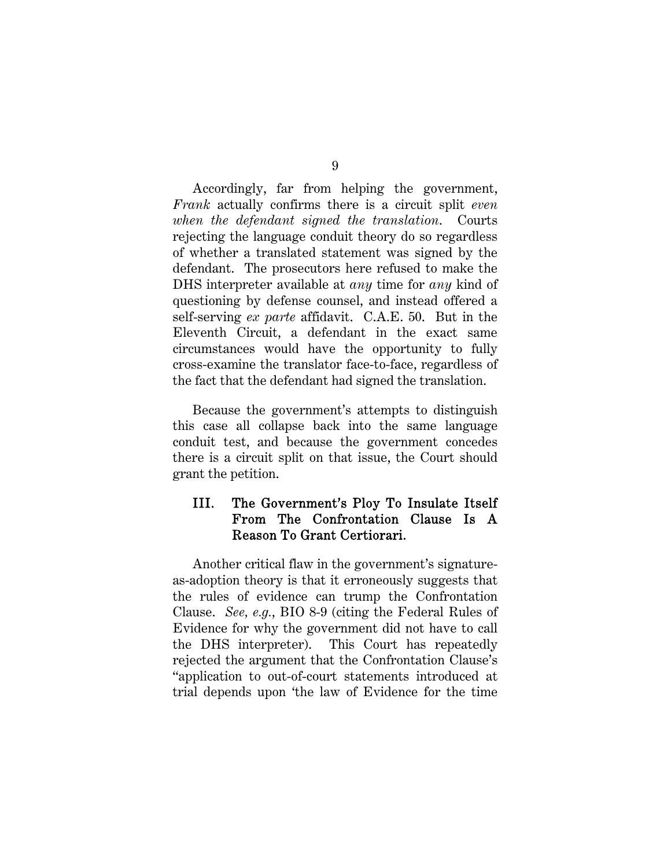Accordingly, far from helping the government, *Frank* actually confirms there is a circuit split *even when the defendant signed the translation*. Courts rejecting the language conduit theory do so regardless of whether a translated statement was signed by the defendant. The prosecutors here refused to make the DHS interpreter available at *any* time for *any* kind of questioning by defense counsel, and instead offered a self-serving *ex parte* affidavit. C.A.E. 50. But in the Eleventh Circuit, a defendant in the exact same circumstances would have the opportunity to fully cross-examine the translator face-to-face, regardless of the fact that the defendant had signed the translation.

Because the government's attempts to distinguish this case all collapse back into the same language conduit test, and because the government concedes there is a circuit split on that issue, the Court should grant the petition.

### III. The Government's Ploy To Insulate Itself From The Confrontation Clause Is A Reason To Grant Certiorari.

Another critical flaw in the government's signatureas-adoption theory is that it erroneously suggests that the rules of evidence can trump the Confrontation Clause. *See, e.g.*, BIO 8-9 (citing the Federal Rules of Evidence for why the government did not have to call the DHS interpreter). This Court has repeatedly rejected the argument that the Confrontation Clause's "application to out-of-court statements introduced at trial depends upon 'the law of Evidence for the time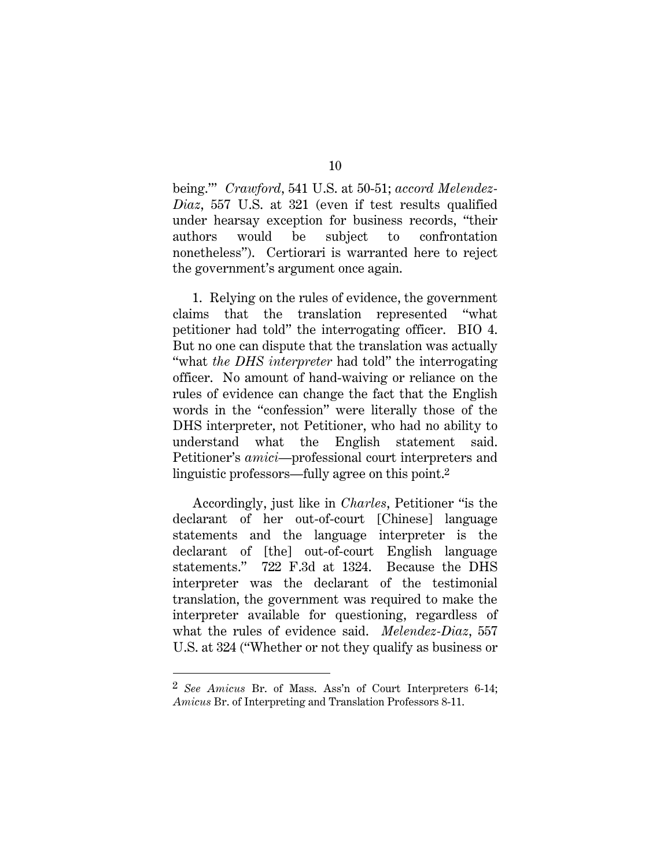being.'" *Crawford*, 541 U.S. at 50-51; *accord Melendez-Diaz*, 557 U.S. at 321 (even if test results qualified under hearsay exception for business records, "their authors would be subject to confrontation nonetheless"). Certiorari is warranted here to reject the government's argument once again.

1. Relying on the rules of evidence, the government claims that the translation represented "what petitioner had told" the interrogating officer. BIO 4. But no one can dispute that the translation was actually "what *the DHS interpreter* had told" the interrogating officer. No amount of hand-waiving or reliance on the rules of evidence can change the fact that the English words in the "confession" were literally those of the DHS interpreter, not Petitioner, who had no ability to understand what the English statement said. Petitioner's *amici*—professional court interpreters and linguistic professors—fully agree on this point.2

Accordingly, just like in *Charles*, Petitioner "is the declarant of her out-of-court [Chinese] language statements and the language interpreter is the declarant of [the] out-of-court English language statements." 722 F.3d at 1324. Because the DHS interpreter was the declarant of the testimonial translation, the government was required to make the interpreter available for questioning, regardless of what the rules of evidence said. *Melendez-Diaz*, 557 U.S. at 324 ("Whether or not they qualify as business or

<sup>2</sup> *See Amicus* Br. of Mass. Ass'n of Court Interpreters 6-14; *Amicus* Br. of Interpreting and Translation Professors 8-11.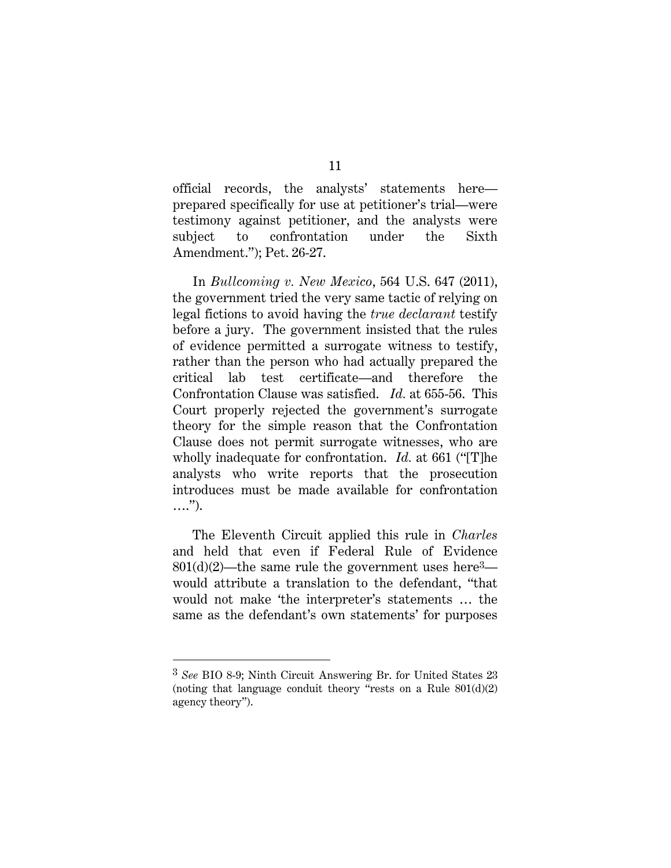official records, the analysts' statements here prepared specifically for use at petitioner's trial—were testimony against petitioner, and the analysts were subject to confrontation under the Sixth Amendment."); Pet. 26-27.

In *Bullcoming v. New Mexico*, 564 U.S. 647 (2011), the government tried the very same tactic of relying on legal fictions to avoid having the *true declarant* testify before a jury. The government insisted that the rules of evidence permitted a surrogate witness to testify, rather than the person who had actually prepared the critical lab test certificate—and therefore the Confrontation Clause was satisfied. *Id.* at 655-56. This Court properly rejected the government's surrogate theory for the simple reason that the Confrontation Clause does not permit surrogate witnesses, who are wholly inadequate for confrontation. *Id.* at 661 ("[T]he analysts who write reports that the prosecution introduces must be made available for confrontation ….").

The Eleventh Circuit applied this rule in *Charles* and held that even if Federal Rule of Evidence  $801(d)(2)$ —the same rule the government uses here<sup>3</sup> would attribute a translation to the defendant, "that would not make 'the interpreter's statements … the same as the defendant's own statements' for purposes

l

<sup>3</sup> *See* BIO 8-9; Ninth Circuit Answering Br. for United States 23 (noting that language conduit theory "rests on a Rule  $801(d)(2)$ ) agency theory").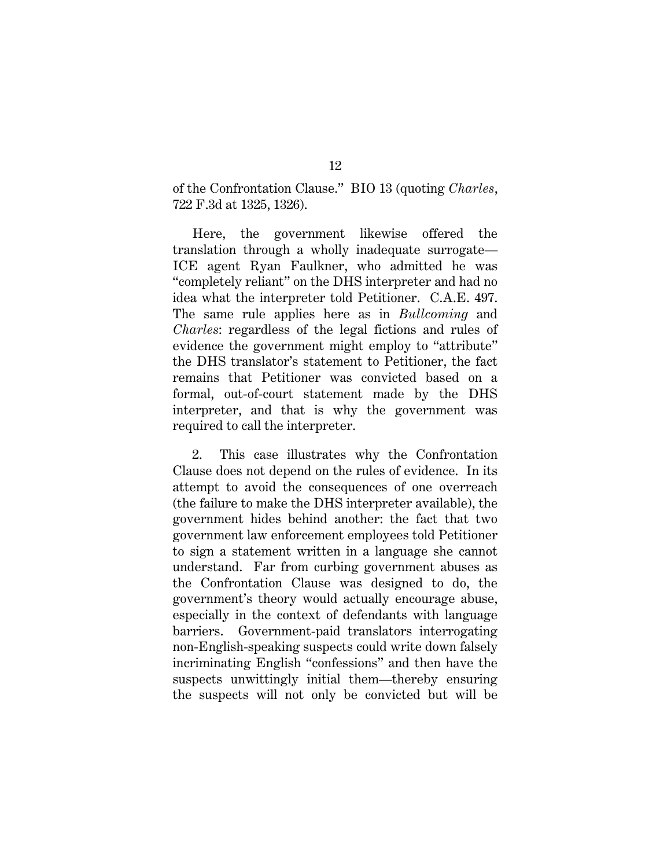of the Confrontation Clause." BIO 13 (quoting *Charles*, 722 F.3d at 1325, 1326).

Here, the government likewise offered the translation through a wholly inadequate surrogate— ICE agent Ryan Faulkner, who admitted he was "completely reliant" on the DHS interpreter and had no idea what the interpreter told Petitioner. C.A.E. 497. The same rule applies here as in *Bullcoming* and *Charles*: regardless of the legal fictions and rules of evidence the government might employ to "attribute" the DHS translator's statement to Petitioner, the fact remains that Petitioner was convicted based on a formal, out-of-court statement made by the DHS interpreter, and that is why the government was required to call the interpreter.

2. This case illustrates why the Confrontation Clause does not depend on the rules of evidence. In its attempt to avoid the consequences of one overreach (the failure to make the DHS interpreter available), the government hides behind another: the fact that two government law enforcement employees told Petitioner to sign a statement written in a language she cannot understand. Far from curbing government abuses as the Confrontation Clause was designed to do, the government's theory would actually encourage abuse, especially in the context of defendants with language barriers. Government-paid translators interrogating non-English-speaking suspects could write down falsely incriminating English "confessions" and then have the suspects unwittingly initial them—thereby ensuring the suspects will not only be convicted but will be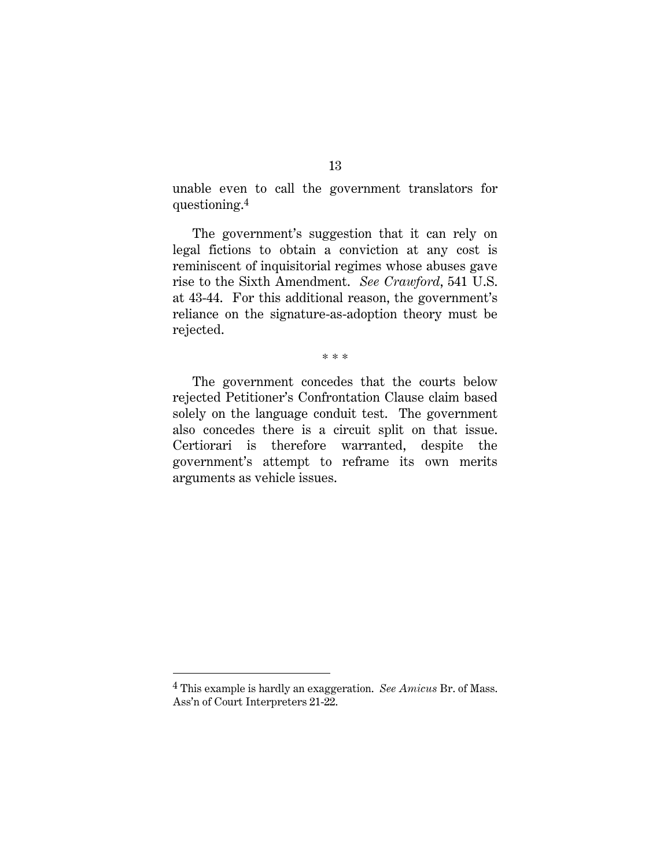unable even to call the government translators for questioning.4

The government's suggestion that it can rely on legal fictions to obtain a conviction at any cost is reminiscent of inquisitorial regimes whose abuses gave rise to the Sixth Amendment. *See Crawford*, 541 U.S. at 43-44. For this additional reason, the government's reliance on the signature-as-adoption theory must be rejected.

\* \* \*

The government concedes that the courts below rejected Petitioner's Confrontation Clause claim based solely on the language conduit test. The government also concedes there is a circuit split on that issue. Certiorari is therefore warranted, despite the government's attempt to reframe its own merits arguments as vehicle issues.

<sup>4</sup> This example is hardly an exaggeration. *See Amicus* Br. of Mass. Ass'n of Court Interpreters 21-22.